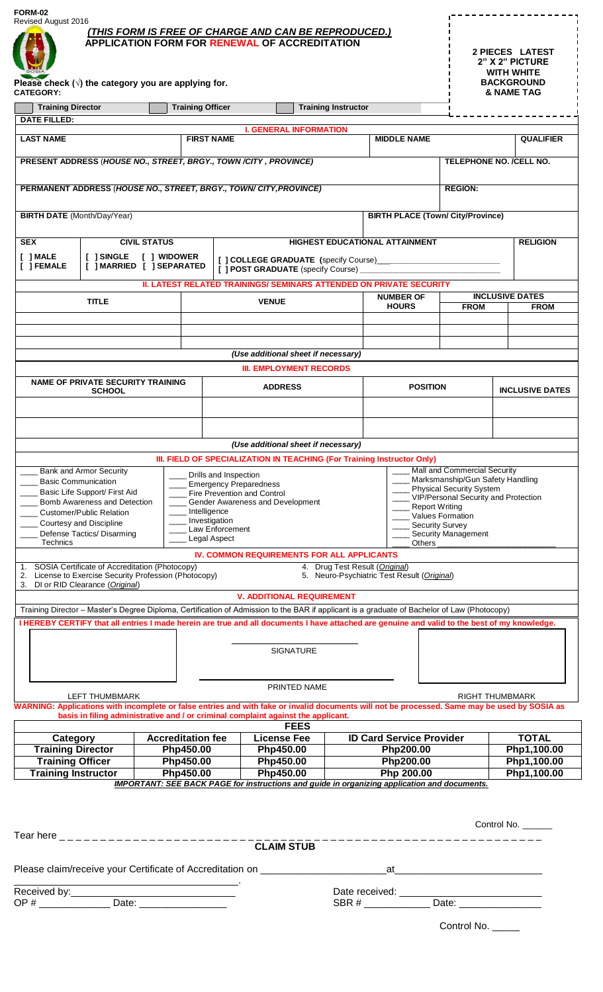| FORM-02<br>Revised August 2016                                                                                                                                                                                                                                                                                                                                                                                                  |                                                                                             |                          |                                                                                                     |                                                                                                                                                               |           |                                                                                                                                                                                                                                                            |                        |                                                  |                                                                                            |  |
|---------------------------------------------------------------------------------------------------------------------------------------------------------------------------------------------------------------------------------------------------------------------------------------------------------------------------------------------------------------------------------------------------------------------------------|---------------------------------------------------------------------------------------------|--------------------------|-----------------------------------------------------------------------------------------------------|---------------------------------------------------------------------------------------------------------------------------------------------------------------|-----------|------------------------------------------------------------------------------------------------------------------------------------------------------------------------------------------------------------------------------------------------------------|------------------------|--------------------------------------------------|--------------------------------------------------------------------------------------------|--|
| <u>(THIS FORM IS FREE OF CHARGE AND CAN BE REPRODUCED.)</u><br><b>APPLICATION FORM FOR RENEWAL OF ACCREDITATION</b><br>Please check $(\sqrt{})$ the category you are applying for.<br><b>CATEGORY:</b>                                                                                                                                                                                                                          |                                                                                             |                          |                                                                                                     |                                                                                                                                                               |           |                                                                                                                                                                                                                                                            |                        |                                                  | 2 PIECES LATEST<br>2" X 2" PICTURE<br><b>WITH WHITE</b><br><b>BACKGROUND</b><br>& NAME TAG |  |
|                                                                                                                                                                                                                                                                                                                                                                                                                                 | <b>Training Director</b><br><b>Training Officer</b><br><b>Training Instructor</b>           |                          |                                                                                                     |                                                                                                                                                               |           |                                                                                                                                                                                                                                                            |                        |                                                  |                                                                                            |  |
| <b>DATE FILLED:</b>                                                                                                                                                                                                                                                                                                                                                                                                             |                                                                                             |                          |                                                                                                     | <b>I. GENERAL INFORMATION</b>                                                                                                                                 |           |                                                                                                                                                                                                                                                            |                        |                                                  |                                                                                            |  |
| <b>LAST NAME</b>                                                                                                                                                                                                                                                                                                                                                                                                                |                                                                                             | <b>FIRST NAME</b>        |                                                                                                     |                                                                                                                                                               |           | <b>MIDDLE NAME</b>                                                                                                                                                                                                                                         |                        |                                                  | <b>QUALIFIER</b>                                                                           |  |
| PRESENT ADDRESS (HOUSE NO., STREET, BRGY., TOWN/CITY, PROVINCE)<br>PERMANENT ADDRESS (HOUSE NO., STREET, BRGY., TOWN/CITY, PROVINCE)                                                                                                                                                                                                                                                                                            |                                                                                             |                          |                                                                                                     |                                                                                                                                                               |           |                                                                                                                                                                                                                                                            |                        | <b>TELEPHONE NO. /CELL NO.</b><br><b>REGION:</b> |                                                                                            |  |
| <b>BIRTH DATE</b> (Month/Day/Year)                                                                                                                                                                                                                                                                                                                                                                                              |                                                                                             |                          |                                                                                                     |                                                                                                                                                               |           | <b>BIRTH PLACE (Town/ City/Province)</b>                                                                                                                                                                                                                   |                        |                                                  |                                                                                            |  |
|                                                                                                                                                                                                                                                                                                                                                                                                                                 | <b>CIVIL STATUS</b>                                                                         |                          |                                                                                                     |                                                                                                                                                               |           | <b>HIGHEST EDUCATIONAL ATTAINMENT</b>                                                                                                                                                                                                                      |                        |                                                  | <b>RELIGION</b>                                                                            |  |
| <b>SEX</b><br>$[$ ] MALE                                                                                                                                                                                                                                                                                                                                                                                                        |                                                                                             |                          |                                                                                                     |                                                                                                                                                               |           |                                                                                                                                                                                                                                                            |                        |                                                  |                                                                                            |  |
| [ ] FEMALE                                                                                                                                                                                                                                                                                                                                                                                                                      | [ ] SINGLE [ ] WIDOWER<br>[ ] MARRIED [ ] SEPARATED<br>[ ] POST GRADUATE (specify Course) _ |                          |                                                                                                     |                                                                                                                                                               |           |                                                                                                                                                                                                                                                            |                        |                                                  |                                                                                            |  |
|                                                                                                                                                                                                                                                                                                                                                                                                                                 |                                                                                             |                          | <b>II. LATEST RELATED TRAININGS/ SEMINARS ATTENDED ON PRIVATE SECURITY</b>                          |                                                                                                                                                               |           |                                                                                                                                                                                                                                                            |                        |                                                  |                                                                                            |  |
|                                                                                                                                                                                                                                                                                                                                                                                                                                 | <b>TITLE</b>                                                                                |                          | <b>VENUE</b>                                                                                        |                                                                                                                                                               |           | <b>NUMBER OF</b><br><b>HOURS</b>                                                                                                                                                                                                                           |                        | <b>FROM</b>                                      | <b>INCLUSIVE DATES</b><br><b>FROM</b>                                                      |  |
|                                                                                                                                                                                                                                                                                                                                                                                                                                 |                                                                                             |                          |                                                                                                     |                                                                                                                                                               |           |                                                                                                                                                                                                                                                            |                        |                                                  |                                                                                            |  |
|                                                                                                                                                                                                                                                                                                                                                                                                                                 |                                                                                             |                          |                                                                                                     |                                                                                                                                                               |           |                                                                                                                                                                                                                                                            |                        |                                                  |                                                                                            |  |
|                                                                                                                                                                                                                                                                                                                                                                                                                                 |                                                                                             |                          |                                                                                                     | (Use additional sheet if necessary)                                                                                                                           |           |                                                                                                                                                                                                                                                            |                        |                                                  |                                                                                            |  |
|                                                                                                                                                                                                                                                                                                                                                                                                                                 |                                                                                             |                          |                                                                                                     | <b>III. EMPLOYMENT RECORDS</b>                                                                                                                                |           |                                                                                                                                                                                                                                                            |                        |                                                  |                                                                                            |  |
| <b>NAME OF PRIVATE SECURITY TRAINING</b><br><b>SCHOOL</b>                                                                                                                                                                                                                                                                                                                                                                       |                                                                                             |                          |                                                                                                     | <b>ADDRESS</b>                                                                                                                                                |           |                                                                                                                                                                                                                                                            | <b>POSITION</b>        |                                                  | <b>INCLUSIVE DATES</b>                                                                     |  |
|                                                                                                                                                                                                                                                                                                                                                                                                                                 |                                                                                             |                          |                                                                                                     |                                                                                                                                                               |           |                                                                                                                                                                                                                                                            |                        |                                                  |                                                                                            |  |
|                                                                                                                                                                                                                                                                                                                                                                                                                                 |                                                                                             |                          |                                                                                                     |                                                                                                                                                               |           |                                                                                                                                                                                                                                                            |                        |                                                  |                                                                                            |  |
|                                                                                                                                                                                                                                                                                                                                                                                                                                 |                                                                                             |                          | III. FIELD OF SPECIALIZATION IN TEACHING (For Training Instructor Only)                             | (Use additional sheet if necessary)                                                                                                                           |           |                                                                                                                                                                                                                                                            |                        |                                                  |                                                                                            |  |
| <b>Bank and Armor Security</b><br>Drills and Inspection<br><b>Basic Communication</b><br><b>Emergency Preparedness</b><br>Basic Life Support/ First Aid<br>Fire Prevention and Control<br>Bomb Awareness and Detection<br>Gender Awareness and Development<br>Intelligence<br>Customer/Public Relation<br>Investigation<br>Courtesy and Discipline<br>Law Enforcement<br>Defense Tactics/ Disarming<br>Legal Aspect<br>Technics |                                                                                             |                          |                                                                                                     |                                                                                                                                                               |           | Mall and Commercial Security<br>Marksmanship/Gun Safety Handling<br><b>Physical Security System</b><br>VIP/Personal Security and Protection<br><b>Report Writing</b><br><b>Values Formation</b><br><b>Security Survey</b><br>Security Management<br>Others |                        |                                                  |                                                                                            |  |
|                                                                                                                                                                                                                                                                                                                                                                                                                                 |                                                                                             |                          | IV. COMMON REQUIREMENTS FOR ALL APPLICANTS                                                          |                                                                                                                                                               |           |                                                                                                                                                                                                                                                            |                        |                                                  |                                                                                            |  |
| 1. SOSIA Certificate of Accreditation (Photocopy)<br>2. License to Exercise Security Profession (Photocopy)<br>3. DI or RID Clearance (Original)                                                                                                                                                                                                                                                                                |                                                                                             |                          |                                                                                                     |                                                                                                                                                               |           | 4. Drug Test Result (Original)<br>5. Neuro-Psychiatric Test Result (Original)                                                                                                                                                                              |                        |                                                  |                                                                                            |  |
| Training Director - Master's Degree Diploma, Certification of Admission to the BAR if applicant is a graduate of Bachelor of Law (Photocopy)                                                                                                                                                                                                                                                                                    |                                                                                             |                          |                                                                                                     | <b>V. ADDITIONAL REQUIREMENT</b>                                                                                                                              |           |                                                                                                                                                                                                                                                            |                        |                                                  |                                                                                            |  |
| I HEREBY CERTIFY that all entries I made herein are true and all documents I have attached are genuine and valid to the best of my knowledge.                                                                                                                                                                                                                                                                                   |                                                                                             |                          |                                                                                                     |                                                                                                                                                               |           |                                                                                                                                                                                                                                                            |                        |                                                  |                                                                                            |  |
|                                                                                                                                                                                                                                                                                                                                                                                                                                 |                                                                                             |                          |                                                                                                     |                                                                                                                                                               |           |                                                                                                                                                                                                                                                            |                        |                                                  |                                                                                            |  |
|                                                                                                                                                                                                                                                                                                                                                                                                                                 |                                                                                             |                          |                                                                                                     | <b>SIGNATURE</b>                                                                                                                                              |           |                                                                                                                                                                                                                                                            |                        |                                                  |                                                                                            |  |
|                                                                                                                                                                                                                                                                                                                                                                                                                                 | <b>LEFT THUMBMARK</b>                                                                       |                          |                                                                                                     | PRINTED NAME<br>WARNING: Applications with incomplete or false entries and with fake or invalid documents will not be processed. Same may be used by SOSIA as |           |                                                                                                                                                                                                                                                            | <b>RIGHT THUMBMARK</b> |                                                  |                                                                                            |  |
|                                                                                                                                                                                                                                                                                                                                                                                                                                 |                                                                                             |                          | basis in filing administrative and / or criminal complaint against the applicant.                   |                                                                                                                                                               |           |                                                                                                                                                                                                                                                            |                        |                                                  |                                                                                            |  |
| Category                                                                                                                                                                                                                                                                                                                                                                                                                        |                                                                                             | <b>Accreditation fee</b> |                                                                                                     | <b>FEES</b><br><b>License Fee</b>                                                                                                                             |           | <b>ID Card Service Provider</b>                                                                                                                                                                                                                            |                        |                                                  | <b>TOTAL</b>                                                                               |  |
| <b>Training Director</b><br>Php450.00                                                                                                                                                                                                                                                                                                                                                                                           |                                                                                             |                          | Php450.00                                                                                           |                                                                                                                                                               | Php200.00 |                                                                                                                                                                                                                                                            |                        | Php1,100.00                                      |                                                                                            |  |
|                                                                                                                                                                                                                                                                                                                                                                                                                                 | <b>Training Officer</b><br>Php450.00<br><b>Training Instructor</b><br>Php450.00             |                          |                                                                                                     | Php450.00<br>Php450.00                                                                                                                                        |           | Php200.00<br>Php 200.00                                                                                                                                                                                                                                    |                        |                                                  | Php1,100.00<br>Php1,100.00                                                                 |  |
|                                                                                                                                                                                                                                                                                                                                                                                                                                 |                                                                                             |                          | <b>IMPORTANT: SEE BACK PAGE for instructions and guide in organizing application and documents.</b> |                                                                                                                                                               |           |                                                                                                                                                                                                                                                            |                        |                                                  |                                                                                            |  |
|                                                                                                                                                                                                                                                                                                                                                                                                                                 |                                                                                             |                          |                                                                                                     |                                                                                                                                                               |           |                                                                                                                                                                                                                                                            |                        |                                                  |                                                                                            |  |
| Tear here $\frac{1}{1}$ = $\frac{1}{1}$ = $\frac{1}{1}$ = $\frac{1}{1}$ = $\frac{1}{1}$ = $\frac{1}{1}$ = $\frac{1}{1}$ = $\frac{1}{1}$ = $\frac{1}{1}$ = $\frac{1}{1}$ = $\frac{1}{1}$ = $\frac{1}{1}$ = $\frac{1}{1}$ = $\frac{1}{1}$ = $\frac{1}{1}$ = $\frac{1}{1}$ = $\frac{1}{1}$ = $\frac{1}{1$                                                                                                                          |                                                                                             |                          |                                                                                                     |                                                                                                                                                               |           |                                                                                                                                                                                                                                                            |                        |                                                  | Control No.                                                                                |  |
|                                                                                                                                                                                                                                                                                                                                                                                                                                 |                                                                                             |                          |                                                                                                     | <b>CLAIM STUB</b>                                                                                                                                             |           |                                                                                                                                                                                                                                                            |                        |                                                  |                                                                                            |  |
| Please claim/receive your Certificate of Accreditation on __________                                                                                                                                                                                                                                                                                                                                                            |                                                                                             |                          |                                                                                                     |                                                                                                                                                               |           | at                                                                                                                                                                                                                                                         |                        |                                                  |                                                                                            |  |
| Received by:                                                                                                                                                                                                                                                                                                                                                                                                                    |                                                                                             |                          |                                                                                                     |                                                                                                                                                               |           | Date received: _____                                                                                                                                                                                                                                       |                        |                                                  |                                                                                            |  |
| OP#                                                                                                                                                                                                                                                                                                                                                                                                                             |                                                                                             | Date:                    |                                                                                                     |                                                                                                                                                               |           |                                                                                                                                                                                                                                                            |                        |                                                  |                                                                                            |  |
|                                                                                                                                                                                                                                                                                                                                                                                                                                 |                                                                                             |                          |                                                                                                     |                                                                                                                                                               |           |                                                                                                                                                                                                                                                            |                        | Control No. _                                    |                                                                                            |  |